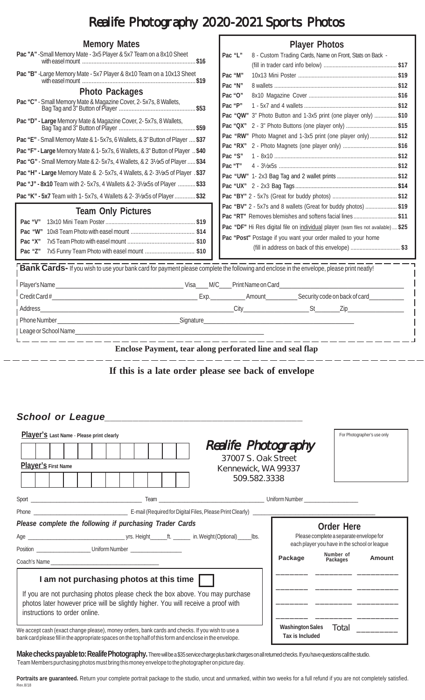## Realife Photography 2020-2021 Sports Photos

| <b>Memory Mates</b>                                                                     | <b>Player Photos</b>                                                                                              |  |  |  |
|-----------------------------------------------------------------------------------------|-------------------------------------------------------------------------------------------------------------------|--|--|--|
| Pac "A" - Small Memory Mate - 3x5 Player & 5x7 Team on a 8x10 Sheet                     | Pac "L"<br>8 - Custom Trading Cards, Name on Front, Stats on Back -                                               |  |  |  |
| Pac "B" - Large Memory Mate - 5x7 Player & 8x10 Team on a 10x13 Sheet                   | Pac "M"                                                                                                           |  |  |  |
| <b>Photo Packages</b>                                                                   | Pac "N"                                                                                                           |  |  |  |
| Pac "C" - Small Memory Mate & Magazine Cover, 2-5x7s, 8 Wallets,                        | Pac "O"<br>Pac "P"                                                                                                |  |  |  |
| Pac "D" - Large Memory Mate & Magazine Cover, 2-5x7s, 8 Wallets,                        | Pac "QW" 3" Photo Button and 1-3x5 print (one player only)  \$10                                                  |  |  |  |
|                                                                                         | Pac "QX" 2 - 3" Photo Buttons (one player only) \$15                                                              |  |  |  |
| Pac "E" - Small Memory Mate & 1-5x7s, 6 Wallets, & 3" Button of Player  \$37            | Pac "RW" Photo Magnet and 1-3x5 print (one player only) \$12<br>Pac "RX" 2 - Photo Magnets (one player only) \$16 |  |  |  |
| Pac "F" - Large Memory Mate & 1-5x7s, 6 Wallets, & 3" Button of Player  \$40<br>Pac "S" |                                                                                                                   |  |  |  |
| Pac "G" - Small Memory Mate & 2-5x7s, 4 Wallets, & 2 31/2x5 of Player  \$34             | Pac "T"                                                                                                           |  |  |  |
| Pac "H" - Large Memory Mate & 2-5x7s, 4 Wallets, & 2-31/2x5 of Player . \$37            |                                                                                                                   |  |  |  |
| Pac "J" - 8x10 Team with 2- 5x7s, 4 Wallets & 2- 31/2x5s of Player  \$33                |                                                                                                                   |  |  |  |
| Pac "K" - 5x7 Team with 1- 5x7s, 4 Wallets & 2-31/2x5s of Player  \$32                  |                                                                                                                   |  |  |  |
|                                                                                         | Pac "BV" 2 - 5x7s and 8 wallets (Great for buddy photos) \$19                                                     |  |  |  |
| <b>Team Only Pictures</b>                                                               | Pac "RT" Removes blemishes and softens facial lines\$11                                                           |  |  |  |
| Pac "V"<br>Pac "W"                                                                      | Pac "DF" Hi Res digital file on individual player (team files not available)  \$25                                |  |  |  |
| Pac "X"                                                                                 | Pac "Post" Postage if you want your order mailed to your home                                                     |  |  |  |
| 7x5 Funny Team Photo with easel mount  \$10<br>Pac "Z"                                  | (fill in address on back of this envelope)  \$3                                                                   |  |  |  |
|                                                                                         | Enclose Payment, tear along perforated line and seal flap                                                         |  |  |  |
| School or League                                                                        | If this is a late order please see back of envelope                                                               |  |  |  |
| Player'S Last Name - Please print clearly                                               | For Photographer's use only                                                                                       |  |  |  |
|                                                                                         | <b>Realife Photography</b>                                                                                        |  |  |  |
| Player's First Name                                                                     | 37007 S. Oak Street                                                                                               |  |  |  |
|                                                                                         | Kennewick, WA 99337<br>509.582.3338                                                                               |  |  |  |
|                                                                                         |                                                                                                                   |  |  |  |
|                                                                                         |                                                                                                                   |  |  |  |
| Please complete the following if purchasing Trader Cards                                |                                                                                                                   |  |  |  |
|                                                                                         | <b>Order Here</b><br>Please complete a separate envelope for<br>$\overline{\phantom{a}}$ lbs.                     |  |  |  |

Position \_\_\_\_\_\_\_\_\_\_\_\_\_\_\_\_\_\_\_ Uniform Number \_\_\_\_\_\_\_\_\_\_\_\_\_\_\_\_\_\_

Coach's Name

## **I am not purchasing photos at this time**

If you are not purchasing photos please check the box above. You may purchase photos later however price will be slightly higher. You will receive a proof with instructions to order online.

We accept cash (exact change please), money orders, bank cards and checks. If you wish to use a bank card please fill in the appropriate spaces on the top half of this form and enclose in the envelope.

Make checks payable to: Realife Photography. There will be a \$35 service charge plus bank charges on all returned checks. If you have questions call the studio. Team Members purchasing photos must bring this money envelope to the photographer on picture day.

Portraits are guaranteed. Return your complete portrait package to the studio, uncut and unmarked, within two weeks for a full refund if you are not completely satisfied. Rev.8/18

**Package Amount Number of Packages** \_\_\_\_\_\_\_ \_\_\_\_\_\_\_\_ \_\_\_\_\_\_\_\_\_

each player you have in the school or league

\_\_\_\_\_\_\_ \_\_\_\_\_\_\_\_ \_\_\_\_\_\_\_\_\_

\_\_\_\_\_\_\_ \_\_\_\_\_\_\_\_ \_\_\_\_\_\_\_\_\_

\_\_\_\_\_\_\_ \_\_\_\_\_\_\_\_ \_\_\_\_\_\_\_\_\_ Total \_\_\_\_\_\_\_\_\_

**Washington Sales Tax is Included**